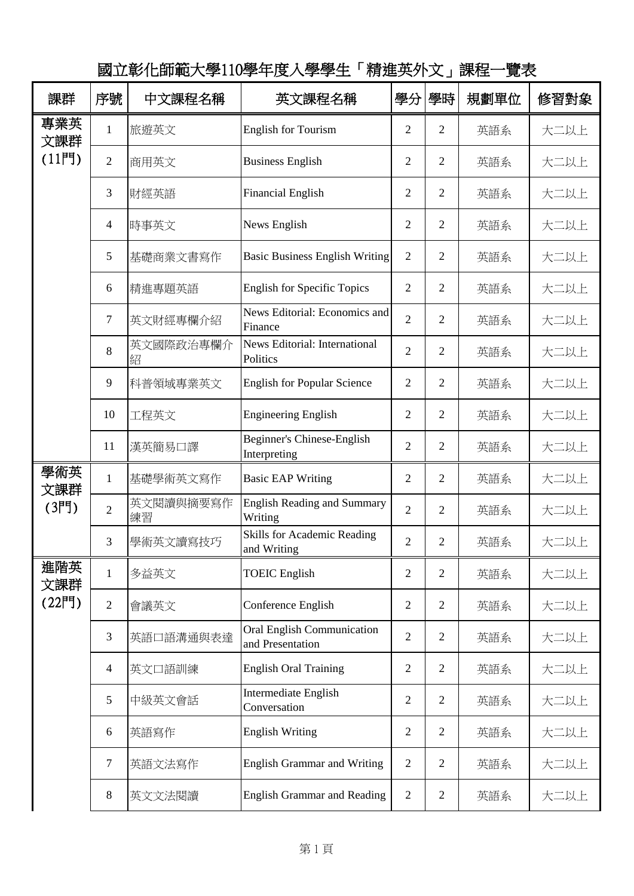| 課群                    | 序號                       | 中文課程名稱          | 英文課程名稱                                                | 學分             | 學時             | 規劃單位 | 修習對象 |
|-----------------------|--------------------------|-----------------|-------------------------------------------------------|----------------|----------------|------|------|
| 專業英<br>文課群<br>$(11$ 門 | $\mathbf{1}$             | 旅遊英文            | <b>English for Tourism</b>                            | $\overline{2}$ | $\overline{2}$ | 英語系  | 大二以上 |
|                       | $\overline{2}$           | 商用英文            | <b>Business English</b>                               | $\overline{c}$ | $\overline{2}$ | 英語系  | 大二以上 |
|                       | 3                        | 財經英語            | <b>Financial English</b>                              | 2              | $\overline{2}$ | 英語系  | 大二以上 |
|                       | $\overline{\mathcal{L}}$ | 時事英文            | News English                                          | 2              | 2              | 英語系  | 大二以上 |
|                       | 5                        | 基礎商業文書寫作        | <b>Basic Business English Writing</b>                 | $\overline{2}$ | $\overline{2}$ | 英語系  | 大二以上 |
|                       | 6                        | 精進專題英語          | <b>English for Specific Topics</b>                    | $\overline{2}$ | $\overline{2}$ | 英語系  | 大二以上 |
|                       | 7                        | 英文財經專欄介紹        | News Editorial: Economics and<br>Finance              | $\overline{2}$ | $\overline{2}$ | 英語系  | 大二以上 |
|                       | 8                        | 英文國際政治專欄介<br>紹  | News Editorial: International<br>Politics             | $\overline{2}$ | 2              | 英語系  | 大二以上 |
|                       | 9                        | 科普領域專業英文        | <b>English for Popular Science</b>                    | $\overline{c}$ | $\overline{2}$ | 英語系  | 大二以上 |
|                       | 10                       | 工程英文            | <b>Engineering English</b>                            | 2              | $\overline{2}$ | 英語系  | 大二以上 |
|                       | 11                       | 漢英簡易口譯          | Beginner's Chinese-English<br>Interpreting            | $\overline{2}$ | $\overline{2}$ | 英語系  | 大二以上 |
| 學術英<br>文課群            | $\mathbf{1}$             | 基礎學術英文寫作        | <b>Basic EAP Writing</b>                              | $\overline{2}$ | $\overline{2}$ | 英語系  | 大二以上 |
| (3門)                  | $\overline{2}$           | 英文閱讀與摘要寫作<br>練習 | <b>English Reading and Summary</b><br>Writing         | $\overline{2}$ | $\overline{2}$ | 英語系  | 大二以上 |
|                       | 3                        | 學術英文讀寫技巧        | Skills for Academic Reading<br>and Writing            | $\overline{c}$ | 2              | 英語系  | 大二以上 |
| 進階英<br>文課群<br>(22門)   | $\mathbf{1}$             | 多益英文            | <b>TOEIC</b> English                                  | 2              | $\overline{2}$ | 英語系  | 大二以上 |
|                       | $\overline{2}$           | 會議英文            | Conference English                                    | 2              | $\overline{2}$ | 英語系  | 大二以上 |
|                       | 3                        | 英語口語溝通與表達       | <b>Oral English Communication</b><br>and Presentation | $\overline{2}$ | $\overline{2}$ | 英語系  | 大二以上 |
|                       | $\overline{4}$           | 英文口語訓練          | <b>English Oral Training</b>                          | $\overline{2}$ | $\overline{2}$ | 英語系  | 大二以上 |
|                       | 5                        | 中級英文會話          | Intermediate English<br>Conversation                  | $\overline{2}$ | $\overline{2}$ | 英語系  | 大二以上 |
|                       | 6                        | 英語寫作            | <b>English Writing</b>                                | $\overline{2}$ | $\overline{2}$ | 英語系  | 大二以上 |
|                       | 7                        | 英語文法寫作          | <b>English Grammar and Writing</b>                    | $\overline{2}$ | $\overline{2}$ | 英語系  | 大二以上 |
|                       | $8\,$                    | 英文文法閱讀          | <b>English Grammar and Reading</b>                    | $\overline{2}$ | $\overline{2}$ | 英語系  | 大二以上 |

國立彰化師範大學110學年度入學學生「精進英外文」課程一覽表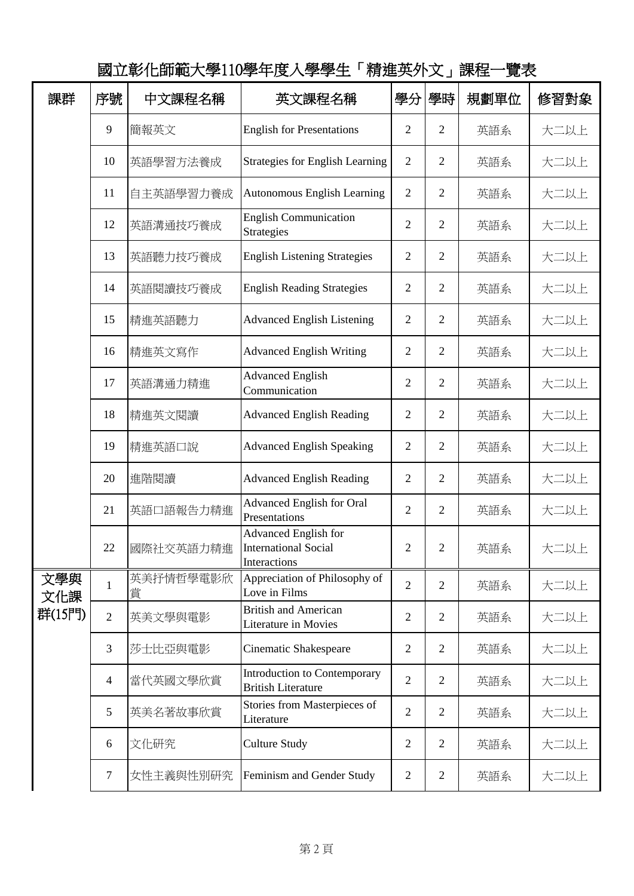| 課群                   | 序號             | 中文課程名稱         | 英文課程名稱                                                                     | 學分             | 學時             | 規劃單位 | 修習對象 |
|----------------------|----------------|----------------|----------------------------------------------------------------------------|----------------|----------------|------|------|
|                      | 9              | 簡報英文           | <b>English for Presentations</b>                                           | $\overline{2}$ | $\overline{2}$ | 英語系  | 大二以上 |
|                      | 10             | 英語學習方法養成       | <b>Strategies for English Learning</b>                                     | $\overline{2}$ | $\overline{2}$ | 英語系  | 大二以上 |
|                      | 11             | 自主英語學習力養成      | Autonomous English Learning                                                | $\overline{2}$ | $\overline{2}$ | 英語系  | 大二以上 |
|                      | 12             | 英語溝通技巧養成       | <b>English Communication</b><br>Strategies                                 | $\overline{2}$ | $\overline{2}$ | 英語系  | 大二以上 |
|                      | 13             | 英語聽力技巧養成       | <b>English Listening Strategies</b>                                        | 2              | 2              | 英語系  | 大二以上 |
|                      | 14             | 英語閱讀技巧養成       | <b>English Reading Strategies</b>                                          | $\overline{2}$ | $\overline{2}$ | 英語系  | 大二以上 |
|                      | 15             | 精進英語聽力         | <b>Advanced English Listening</b>                                          | $\overline{2}$ | $\overline{2}$ | 英語系  | 大二以上 |
|                      | 16             | 精進英文寫作         | <b>Advanced English Writing</b>                                            | $\overline{2}$ | 2              | 英語系  | 大二以上 |
|                      | 17             | 英語溝通力精進        | <b>Advanced English</b><br>Communication                                   | $\overline{2}$ | 2              | 英語系  | 大二以上 |
|                      | 18             | 精進英文閱讀         | <b>Advanced English Reading</b>                                            | 2              | 2              | 英語系  | 大二以上 |
|                      | 19             | 精進英語口說         | <b>Advanced English Speaking</b>                                           | 2              | $\overline{2}$ | 英語系  | 大二以上 |
|                      | 20             | 進階閱讀           | <b>Advanced English Reading</b>                                            | 2              | $\overline{2}$ | 英語系  | 大二以上 |
|                      | 21             | 英語口語報告力精進      | Advanced English for Oral<br>Presentations                                 | $\overline{2}$ | 2              | 英語系  | 大二以上 |
|                      | 22             | 國際社交英語力精進      | <b>Advanced English for</b><br><b>International Social</b><br>Interactions | $\overline{2}$ | 2              | 英語系  | 大二以上 |
| 文學與<br>文化課<br>群(15門) | $\mathbf{1}$   | 英美抒情哲學電影欣<br>賞 | Appreciation of Philosophy of<br>Love in Films                             | $\overline{2}$ | $\overline{2}$ | 英語系  | 大二以上 |
|                      | $\overline{2}$ | 英美文學與電影        | <b>British and American</b><br>Literature in Movies                        | $\overline{2}$ | $\overline{2}$ | 英語系  | 大二以上 |
|                      | 3              | 莎士比亞與電影        | Cinematic Shakespeare                                                      | $\overline{2}$ | $\mathbf{2}$   | 英語系  | 大二以上 |
|                      | $\overline{4}$ | 當代英國文學欣賞       | Introduction to Contemporary<br><b>British Literature</b>                  | $\overline{2}$ | $\overline{2}$ | 英語系  | 大二以上 |
|                      | 5              | 英美名著故事欣賞       | Stories from Masterpieces of<br>Literature                                 | $\overline{2}$ | $\overline{2}$ | 英語系  | 大二以上 |
|                      | 6              | 文化研究           | <b>Culture Study</b>                                                       | $\overline{2}$ | $\overline{2}$ | 英語系  | 大二以上 |
|                      | $\overline{7}$ | 女性主義與性別研究      | Feminism and Gender Study                                                  | $\overline{2}$ | $\overline{2}$ | 英語系  | 大二以上 |

國立彰化師範大學110學年度入學學生「精進英外文」課程一覽表